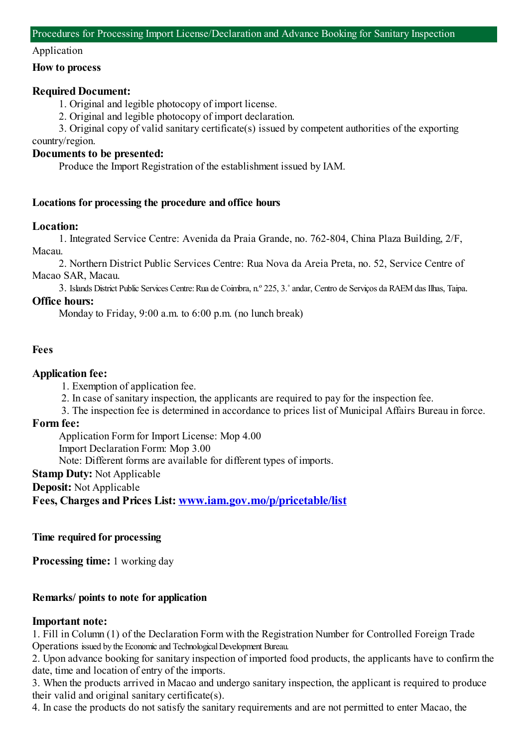#### Application

#### **How to process**

## **Required Document:**

1. Original and legible photocopy of import license.

2. Original and legible photocopy of import declaration.

3. Original copy of valid sanitary certificate(s) issued by competent authorities of the exporting country/region.

## **Documents to be presented:**

Produce the Import Registration of the establishment issued by IAM.

#### **Locations for processing the procedure and office hours**

## **Location:**

1. Integrated Service Centre: Avenida da Praia Grande, no. 762-804, China Plaza Building, 2/F, Macau.

2. Northern District Public Services Centre: Rua Nova da Areia Preta, no. 52, Service Centre of Macao SAR, Macau.

3. Islands District Public Services Centre:Rua de Coimbra, n.º 225, 3.˚andar, Centro de Serviços da RAEMdas Ilhas, Taipa.

## **Office hours:**

Monday to Friday, 9:00 a.m. to 6:00 p.m. (no lunch break)

#### **Fees**

## **Application fee:**

1. Exemption of application fee.

- 2. In case of sanitary inspection, the applicants are required to pay for the inspection fee.
- 3. The inspection fee is determined in accordance to prices list of Municipal Affairs Bureau in force.

## **Form fee:**

Application Formfor Import License: Mop 4.00

Import Declaration Form: Mop 3.00

Note: Different forms are available for different types of imports.

**Stamp Duty:** Not Applicable

**Deposit:** Not Applicable

**Fees, Charges and Prices List: [www.iam.gov.mo/p/pricetable/list](http://www.iam.gov.mo/p/pricetable/list)**

#### **Time required for processing**

**Processing time:** 1 working day

# **Remarks/ points to note for application**

#### **Important note:**

1. Fill in Column (1) of the Declaration Formwith the Registration Number for Controlled Foreign Trade Operations issued by the Economic and Technological Development Bureau.

2. Upon advance booking for sanitary inspection of imported food products, the applicants have to confirmthe date, time and location of entry of the imports.

3. When the products arrived in Macao and undergo sanitary inspection, the applicant is required to produce their valid and original sanitary certificate(s).

4. In case the products do not satisfy the sanitary requirements and are not permitted to enter Macao, the